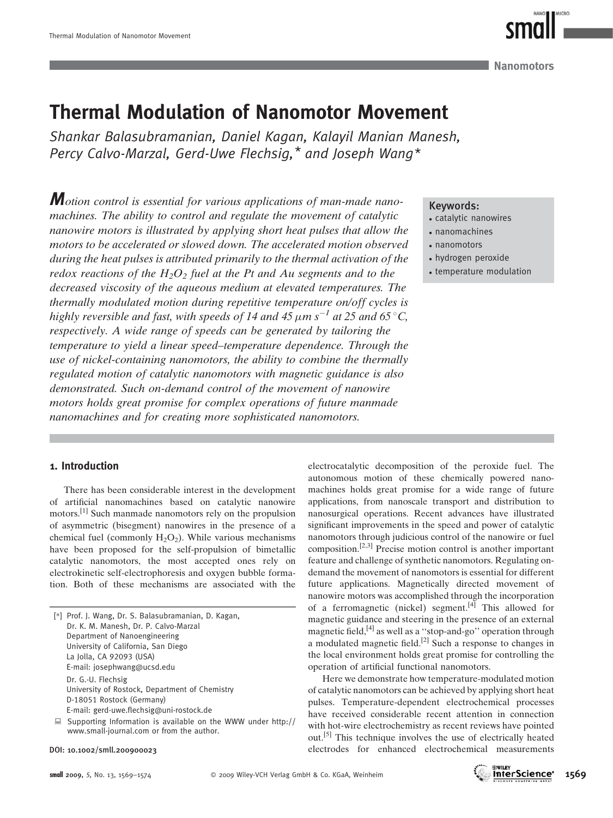Nanomotors

# Thermal Modulation of Nanomotor Movement

Shankar Balasubramanian, Daniel Kagan, Kalayil Manian Manesh, Percy Calvo-Marzal, Gerd-Uwe Flechsig,\* and Joseph Wang\*

*M*otion control is essential for various applications of man-made nanomachines. The ability to control and regulate the movement of catalytic nanowire motors is illustrated by applying short heat pulses that allow the motors to be accelerated or slowed down. The accelerated motion observed during the heat pulses is attributed primarily to the thermal activation of the redox reactions of the  $H_2O_2$  fuel at the Pt and Au segments and to the decreased viscosity of the aqueous medium at elevated temperatures. The thermally modulated motion during repetitive temperature on/off cycles is highly reversible and fast, with speeds of 14 and 45  $\mu$ m s<sup>-1</sup> at 25 and 65 °C, respectively. A wide range of speeds can be generated by tailoring the temperature to yield a linear speed–temperature dependence. Through the use of nickel-containing nanomotors, the ability to combine the thermally regulated motion of catalytic nanomotors with magnetic guidance is also demonstrated. Such on-demand control of the movement of nanowire motors holds great promise for complex operations of future manmade nanomachines and for creating more sophisticated nanomotors.

# Keywords:

- catalytic nanowires
- nanomachines
- nanomotors
- hydrogen peroxide
- temperature modulation

## 1. Introduction

There has been considerable interest in the development of artificial nanomachines based on catalytic nanowire motors.[1] Such manmade nanomotors rely on the propulsion of asymmetric (bisegment) nanowires in the presence of a chemical fuel (commonly  $H_2O_2$ ). While various mechanisms have been proposed for the self-propulsion of bimetallic catalytic nanomotors, the most accepted ones rely on electrokinetic self-electrophoresis and oxygen bubble formation. Both of these mechanisms are associated with the

| [*] Prof. J. Wang, Dr. S. Balasubramanian, D. Kagan,          |
|---------------------------------------------------------------|
| Dr. K. M. Manesh, Dr. P. Calvo-Marzal                         |
| Department of Nanoengineering                                 |
| University of California, San Diego                           |
| La Jolla, CA 92093 (USA)                                      |
| E-mail: josephwang@ucsd.edu                                   |
| Dr. G.-U. Flechsig                                            |
| University of Rostock, Department of Chemistry                |
| D-18051 Rostock (Germany)                                     |
| E-mail: gerd-uwe.flechsig@uni-rostock.de                      |
| Supporting Information is available on the $MMM$ under http:/ |

*<sup>:</sup>* Supporting Information is available on the WWW under http:// www.small-journal.com or from the author.

DOI: 10.1002/smll.200900023

electrocatalytic decomposition of the peroxide fuel. The autonomous motion of these chemically powered nanomachines holds great promise for a wide range of future applications, from nanoscale transport and distribution to nanosurgical operations. Recent advances have illustrated significant improvements in the speed and power of catalytic nanomotors through judicious control of the nanowire or fuel composition.[2,3] Precise motion control is another important feature and challenge of synthetic nanomotors. Regulating ondemand the movement of nanomotors is essential for different future applications. Magnetically directed movement of nanowire motors was accomplished through the incorporation of a ferromagnetic (nickel) segment.<sup>[4]</sup> This allowed for magnetic guidance and steering in the presence of an external magnetic field,<sup>[4]</sup> as well as a "stop-and-go" operation through a modulated magnetic field.<sup>[2]</sup> Such a response to changes in the local environment holds great promise for controlling the operation of artificial functional nanomotors.

Here we demonstrate how temperature-modulated motion of catalytic nanomotors can be achieved by applying short heat pulses. Temperature-dependent electrochemical processes have received considerable recent attention in connection with hot-wire electrochemistry as recent reviews have pointed out.[5] This technique involves the use of electrically heated electrodes for enhanced electrochemical measurements

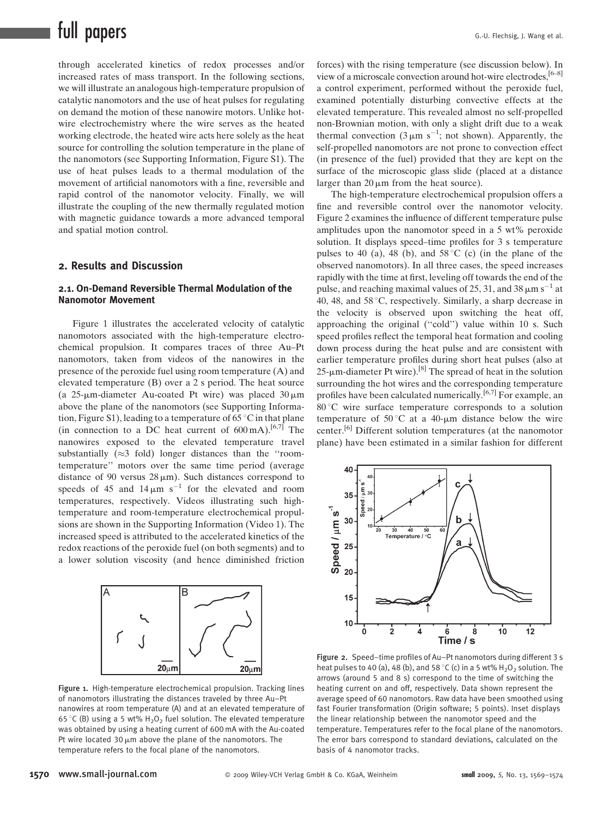# full papers G.-U. Flechsig, J. Wang et al.

through accelerated kinetics of redox processes and/or increased rates of mass transport. In the following sections, we will illustrate an analogous high-temperature propulsion of catalytic nanomotors and the use of heat pulses for regulating on demand the motion of these nanowire motors. Unlike hotwire electrochemistry where the wire serves as the heated working electrode, the heated wire acts here solely as the heat source for controlling the solution temperature in the plane of the nanomotors (see Supporting Information, Figure S1). The use of heat pulses leads to a thermal modulation of the movement of artificial nanomotors with a fine, reversible and rapid control of the nanomotor velocity. Finally, we will illustrate the coupling of the new thermally regulated motion with magnetic guidance towards a more advanced temporal and spatial motion control.

# 2. Results and Discussion

#### 2.1. On-Demand Reversible Thermal Modulation of the Nanomotor Movement

Figure 1 illustrates the accelerated velocity of catalytic nanomotors associated with the high-temperature electrochemical propulsion. It compares traces of three Au–Pt nanomotors, taken from videos of the nanowires in the presence of the peroxide fuel using room temperature (A) and elevated temperature (B) over a 2 s period. The heat source (a  $25$ -µm-diameter Au-coated Pt wire) was placed  $30 \mu m$ above the plane of the nanomotors (see Supporting Information, Figure S1), leading to a temperature of 65 °C in that plane (in connection to a DC heat current of  $600 \text{ mA}$ ).<sup>[6,7]</sup> The nanowires exposed to the elevated temperature travel substantially ( $\approx$ 3 fold) longer distances than the "roomtemperature'' motors over the same time period (average distance of 90 versus  $28 \mu m$ ). Such distances correspond to speeds of 45 and  $14 \mu m s^{-1}$  for the elevated and room temperatures, respectively. Videos illustrating such hightemperature and room-temperature electrochemical propulsions are shown in the Supporting Information (Video 1). The increased speed is attributed to the accelerated kinetics of the redox reactions of the peroxide fuel (on both segments) and to a lower solution viscosity (and hence diminished friction



Figure 1. High-temperature electrochemical propulsion. Tracking lines of nanomotors illustrating the distances traveled by three Au–Pt nanowires at room temperature (A) and at an elevated temperature of 65 °C (B) using a 5 wt%  $H_2O_2$  fuel solution. The elevated temperature was obtained by using a heating current of 600 mA with the Au-coated Pt wire located 30  $\mu$ m above the plane of the nanomotors. The temperature refers to the focal plane of the nanomotors.

forces) with the rising temperature (see discussion below). In view of a microscale convection around hot-wire electrodes,  $[6-8]$ a control experiment, performed without the peroxide fuel, examined potentially disturbing convective effects at the elevated temperature. This revealed almost no self-propelled non-Brownian motion, with only a slight drift due to a weak thermal convection  $(3 \mu m s^{-1})$ ; not shown). Apparently, the self-propelled nanomotors are not prone to convection effect (in presence of the fuel) provided that they are kept on the surface of the microscopic glass slide (placed at a distance larger than  $20 \mu m$  from the heat source).

The high-temperature electrochemical propulsion offers a fine and reversible control over the nanomotor velocity. Figure 2 examines the influence of different temperature pulse amplitudes upon the nanomotor speed in a 5 wt% peroxide solution. It displays speed–time profiles for 3 s temperature pulses to 40 (a), 48 (b), and  $58^{\circ}$ C (c) (in the plane of the observed nanomotors). In all three cases, the speed increases rapidly with the time at first, leveling off towards the end of the pulse, and reaching maximal values of 25, 31, and 38  $\mu$ m s<sup>-1</sup> at 40, 48, and  $58^{\circ}$ C, respectively. Similarly, a sharp decrease in the velocity is observed upon switching the heat off, approaching the original (''cold'') value within 10 s. Such speed profiles reflect the temporal heat formation and cooling down process during the heat pulse and are consistent with earlier temperature profiles during short heat pulses (also at  $25-\mu m$ -diameter Pt wire).<sup>[8]</sup> The spread of heat in the solution surrounding the hot wires and the corresponding temperature profiles have been calculated numerically.<sup>[6,7]</sup> For example, an 80 8C wire surface temperature corresponds to a solution temperature of 50 °C at a 40- $\mu$ m distance below the wire center.[6] Different solution temperatures (at the nanomotor plane) have been estimated in a similar fashion for different



Figure 2. Speed–time profiles of Au–Pt nanomotors during different 3 s heat pulses to 40 (a), 48 (b), and 58 °C (c) in a 5 wt%  $H_2O_2$  solution. The arrows (around 5 and 8 s) correspond to the time of switching the heating current on and off, respectively. Data shown represent the average speed of 60 nanomotors. Raw data have been smoothed using fast Fourier transformation (Origin software; 5 points). Inset displays the linear relationship between the nanomotor speed and the temperature. Temperatures refer to the focal plane of the nanomotors. The error bars correspond to standard deviations, calculated on the basis of 4 nanomotor tracks.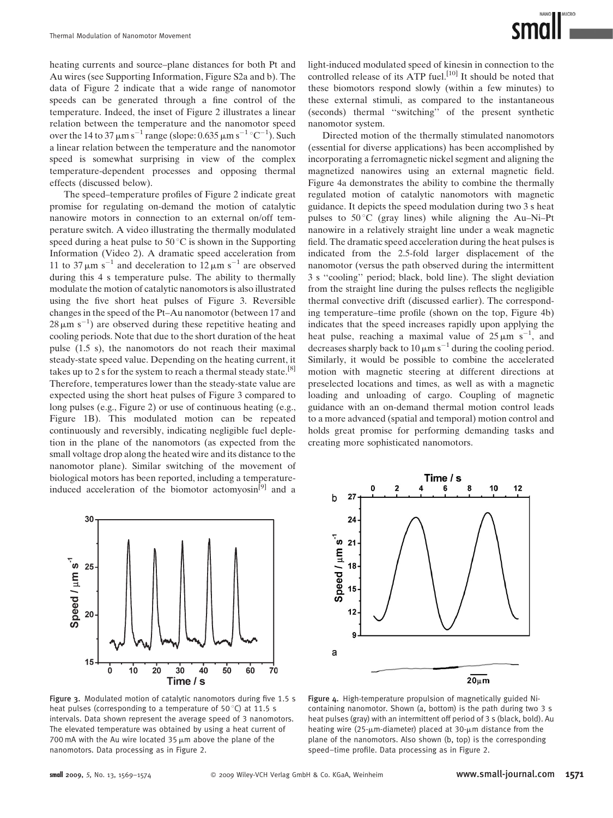heating currents and source–plane distances for both Pt and Au wires (see Supporting Information, Figure S2a and b). The data of Figure 2 indicate that a wide range of nanomotor speeds can be generated through a fine control of the temperature. Indeed, the inset of Figure 2 illustrates a linear relation between the temperature and the nanomotor speed over the 14 to 37  $\mu$ m s<sup>-1</sup> range (slope: 0.635  $\mu$ m s<sup>-1</sup> °C<sup>-1</sup>). Such a linear relation between the temperature and the nanomotor speed is somewhat surprising in view of the complex temperature-dependent processes and opposing thermal effects (discussed below).

The speed–temperature profiles of Figure 2 indicate great promise for regulating on-demand the motion of catalytic nanowire motors in connection to an external on/off temperature switch. A video illustrating the thermally modulated speed during a heat pulse to  $50^{\circ}$ C is shown in the Supporting Information (Video 2). A dramatic speed acceleration from 11 to 37  $\mu$ m s<sup>-1</sup> and deceleration to 12  $\mu$ m s<sup>-1</sup> are observed during this 4 s temperature pulse. The ability to thermally modulate the motion of catalytic nanomotors is also illustrated using the five short heat pulses of Figure 3. Reversible changes in the speed of the Pt–Au nanomotor (between 17 and  $28 \mu m s^{-1}$ ) are observed during these repetitive heating and cooling periods. Note that due to the short duration of the heat pulse (1.5 s), the nanomotors do not reach their maximal steady-state speed value. Depending on the heating current, it takes up to 2 s for the system to reach a thermal steady state.<sup>[8]</sup> Therefore, temperatures lower than the steady-state value are expected using the short heat pulses of Figure 3 compared to long pulses (e.g., Figure 2) or use of continuous heating (e.g., Figure 1B). This modulated motion can be repeated continuously and reversibly, indicating negligible fuel depletion in the plane of the nanomotors (as expected from the small voltage drop along the heated wire and its distance to the nanomotor plane). Similar switching of the movement of biological motors has been reported, including a temperatureinduced acceleration of the biomotor actomyosin<sup>[9]</sup> and a light-induced modulated speed of kinesin in connection to the controlled release of its ATP fuel.<sup>[10]</sup> It should be noted that these biomotors respond slowly (within a few minutes) to these external stimuli, as compared to the instantaneous (seconds) thermal ''switching'' of the present synthetic nanomotor system.

Directed motion of the thermally stimulated nanomotors (essential for diverse applications) has been accomplished by incorporating a ferromagnetic nickel segment and aligning the magnetized nanowires using an external magnetic field. Figure 4a demonstrates the ability to combine the thermally regulated motion of catalytic nanomotors with magnetic guidance. It depicts the speed modulation during two 3 s heat pulses to  $50^{\circ}$ C (gray lines) while aligning the Au–Ni–Pt nanowire in a relatively straight line under a weak magnetic field. The dramatic speed acceleration during the heat pulses is indicated from the 2.5-fold larger displacement of the nanomotor (versus the path observed during the intermittent 3 s ''cooling'' period; black, bold line). The slight deviation from the straight line during the pulses reflects the negligible thermal convective drift (discussed earlier). The corresponding temperature–time profile (shown on the top, Figure 4b) indicates that the speed increases rapidly upon applying the heat pulse, reaching a maximal value of  $25 \mu m s^{-1}$ , and decreases sharply back to 10  $\mu$ m s<sup>-1</sup> during the cooling period. Similarly, it would be possible to combine the accelerated motion with magnetic steering at different directions at preselected locations and times, as well as with a magnetic loading and unloading of cargo. Coupling of magnetic guidance with an on-demand thermal motion control leads to a more advanced (spatial and temporal) motion control and holds great promise for performing demanding tasks and creating more sophisticated nanomotors.





Figure 3. Modulated motion of catalytic nanomotors during five 1.5 s heat pulses (corresponding to a temperature of 50 $\degree$ C) at 11.5 s intervals. Data shown represent the average speed of 3 nanomotors. The elevated temperature was obtained by using a heat current of 700 mA with the Au wire located  $35 \mu$ m above the plane of the nanomotors. Data processing as in Figure 2.

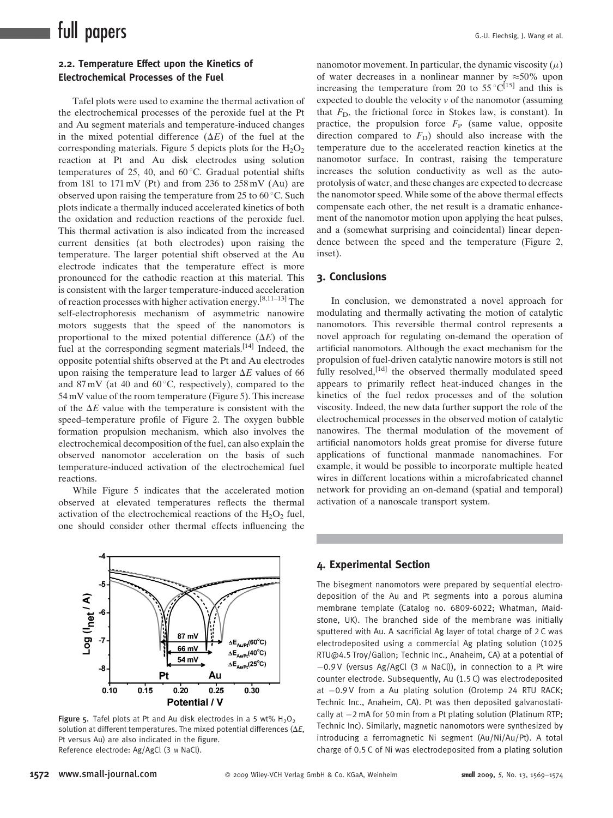# 2.2. Temperature Effect upon the Kinetics of Electrochemical Processes of the Fuel

Tafel plots were used to examine the thermal activation of the electrochemical processes of the peroxide fuel at the Pt and Au segment materials and temperature-induced changes in the mixed potential difference  $(\Delta E)$  of the fuel at the corresponding materials. Figure 5 depicts plots for the  $H_2O_2$ reaction at Pt and Au disk electrodes using solution temperatures of 25, 40, and  $60^{\circ}$ C. Gradual potential shifts from 181 to 171 mV (Pt) and from 236 to  $258 \text{ mV}$  (Au) are observed upon raising the temperature from 25 to  $60^{\circ}$ C. Such plots indicate a thermally induced accelerated kinetics of both the oxidation and reduction reactions of the peroxide fuel. This thermal activation is also indicated from the increased current densities (at both electrodes) upon raising the temperature. The larger potential shift observed at the Au electrode indicates that the temperature effect is more pronounced for the cathodic reaction at this material. This is consistent with the larger temperature-induced acceleration of reaction processes with higher activation energy.[8,11–13] The self-electrophoresis mechanism of asymmetric nanowire motors suggests that the speed of the nanomotors is proportional to the mixed potential difference  $(\Delta E)$  of the fuel at the corresponding segment materials.<sup>[14]</sup> Indeed, the opposite potential shifts observed at the Pt and Au electrodes upon raising the temperature lead to larger  $\Delta E$  values of 66 and  $87 \text{ mV}$  (at 40 and  $60^{\circ}$ C, respectively), compared to the 54 mV value of the room temperature (Figure 5). This increase of the  $\Delta E$  value with the temperature is consistent with the speed–temperature profile of Figure 2. The oxygen bubble formation propulsion mechanism, which also involves the electrochemical decomposition of the fuel, can also explain the observed nanomotor acceleration on the basis of such temperature-induced activation of the electrochemical fuel reactions.

While Figure 5 indicates that the accelerated motion observed at elevated temperatures reflects the thermal activation of the electrochemical reactions of the  $H_2O_2$  fuel, one should consider other thermal effects influencing the



Figure 5. Tafel plots at Pt and Au disk electrodes in a 5 wt%  $H_2O_2$ solution at different temperatures. The mixed potential differences ( $\Delta E$ , Pt versus Au) are also indicated in the figure. Reference electrode: Ag/AgCl (3 <sup>M</sup> NaCl).

nanomotor movement. In particular, the dynamic viscosity  $(\mu)$ of water decreases in a nonlinear manner by  $\approx 50\%$  upon increasing the temperature from 20 to 55 °C<sup>[15]</sup> and this is expected to double the velocity  $\nu$  of the nanomotor (assuming that  $F<sub>D</sub>$ , the frictional force in Stokes law, is constant). In practice, the propulsion force  $F<sub>P</sub>$  (same value, opposite direction compared to  $F<sub>D</sub>$ ) should also increase with the temperature due to the accelerated reaction kinetics at the nanomotor surface. In contrast, raising the temperature increases the solution conductivity as well as the autoprotolysis of water, and these changes are expected to decrease the nanomotor speed. While some of the above thermal effects compensate each other, the net result is a dramatic enhancement of the nanomotor motion upon applying the heat pulses, and a (somewhat surprising and coincidental) linear dependence between the speed and the temperature (Figure 2, inset).

#### 3. Conclusions

In conclusion, we demonstrated a novel approach for modulating and thermally activating the motion of catalytic nanomotors. This reversible thermal control represents a novel approach for regulating on-demand the operation of artificial nanomotors. Although the exact mechanism for the propulsion of fuel-driven catalytic nanowire motors is still not fully resolved,<sup>[1d]</sup> the observed thermally modulated speed appears to primarily reflect heat-induced changes in the kinetics of the fuel redox processes and of the solution viscosity. Indeed, the new data further support the role of the electrochemical processes in the observed motion of catalytic nanowires. The thermal modulation of the movement of artificial nanomotors holds great promise for diverse future applications of functional manmade nanomachines. For example, it would be possible to incorporate multiple heated wires in different locations within a microfabricated channel network for providing an on-demand (spatial and temporal) activation of a nanoscale transport system.

### 4. Experimental Section

The bisegment nanomotors were prepared by sequential electrodeposition of the Au and Pt segments into a porous alumina membrane template (Catalog no. 6809-6022; Whatman, Maidstone, UK). The branched side of the membrane was initially sputtered with Au. A sacrificial Ag layer of total charge of 2 C was electrodeposited using a commercial Ag plating solution (1025 RTU@4.5 Troy/Gallon; Technic Inc., Anaheim, CA) at a potential of  $-0.9$  V (versus Ag/AgCl (3 M NaCl)), in connection to a Pt wire counter electrode. Subsequently, Au (1.5 C) was electrodeposited at  $-0.9$  V from a Au plating solution (Orotemp 24 RTU RACK; Technic Inc., Anaheim, CA). Pt was then deposited galvanostatically at  $-2$  mA for 50 min from a Pt plating solution (Platinum RTP; Technic Inc). Similarly, magnetic nanomotors were synthesized by introducing a ferromagnetic Ni segment (Au/Ni/Au/Pt). A total charge of 0.5 C of Ni was electrodeposited from a plating solution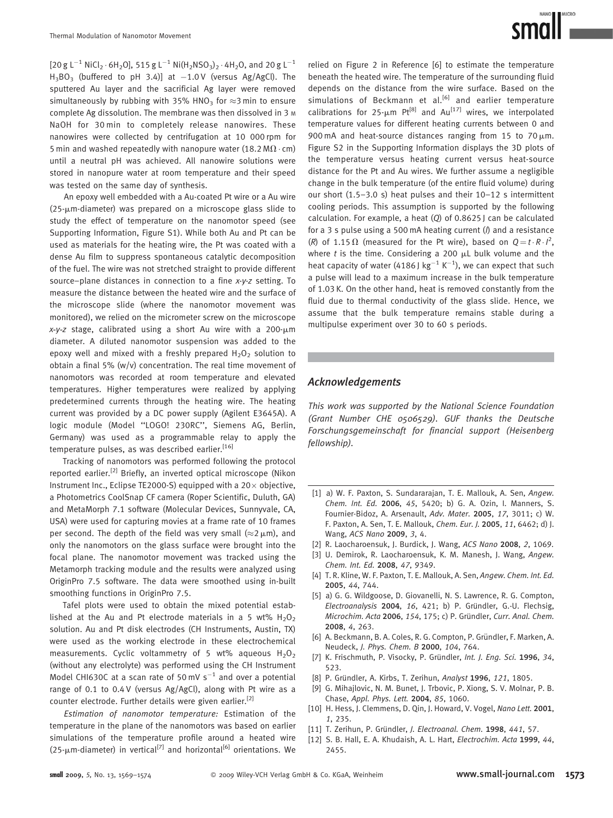

 $[20 g L^{-1} NICl<sub>2</sub> · 6H<sub>2</sub>O]$ , 515 g L<sup>-1</sup> Ni(H<sub>2</sub>NSO<sub>3</sub>)<sub>2</sub> · 4H<sub>2</sub>O, and 20 g L<sup>-1</sup>  $H_3BO_3$  (buffered to pH 3.4)] at  $-1.0 V$  (versus Ag/AgCl). The sputtered Au layer and the sacrificial Ag layer were removed simultaneously by rubbing with 35% HNO<sub>3</sub> for  $\approx$ 3 min to ensure complete Ag dissolution. The membrane was then dissolved in 3 M NaOH for 30 min to completely release nanowires. These nanowires were collected by centrifugation at 10 000 rpm for 5 min and washed repeatedly with nanopure water (18.2 M $\Omega$  · cm) until a neutral pH was achieved. All nanowire solutions were stored in nanopure water at room temperature and their speed was tested on the same day of synthesis.

An epoxy well embedded with a Au-coated Pt wire or a Au wire  $(25\text{-}\mu\text{m-diameter})$  was prepared on a microscope glass slide to study the effect of temperature on the nanomotor speed (see Supporting Information, Figure S1). While both Au and Pt can be used as materials for the heating wire, the Pt was coated with a dense Au film to suppress spontaneous catalytic decomposition of the fuel. The wire was not stretched straight to provide different source–plane distances in connection to a fine x-y-z setting. To measure the distance between the heated wire and the surface of the microscope slide (where the nanomotor movement was monitored), we relied on the micrometer screw on the microscope  $x-y-z$  stage, calibrated using a short Au wire with a 200- $\mu$ m diameter. A diluted nanomotor suspension was added to the epoxy well and mixed with a freshly prepared  $H_2O_2$  solution to obtain a final 5% (w/v) concentration. The real time movement of nanomotors was recorded at room temperature and elevated temperatures. Higher temperatures were realized by applying predetermined currents through the heating wire. The heating current was provided by a DC power supply (Agilent E3645A). A logic module (Model ''LOGO! 230RC'', Siemens AG, Berlin, Germany) was used as a programmable relay to apply the temperature pulses, as was described earlier.<sup>[16]</sup>

Tracking of nanomotors was performed following the protocol reported earlier.[2] Briefly, an inverted optical microscope (Nikon Instrument Inc., Eclipse TE2000-S) equipped with a  $20 \times$  objective, a Photometrics CoolSnap CF camera (Roper Scientific, Duluth, GA) and MetaMorph 7.1 software (Molecular Devices, Sunnyvale, CA, USA) were used for capturing movies at a frame rate of 10 frames per second. The depth of the field was very small ( $\approx$ 2  $\mu$ m), and only the nanomotors on the glass surface were brought into the focal plane. The nanomotor movement was tracked using the Metamorph tracking module and the results were analyzed using OriginPro 7.5 software. The data were smoothed using in-built smoothing functions in OriginPro 7.5.

Tafel plots were used to obtain the mixed potential established at the Au and Pt electrode materials in a 5 wt%  $H_2O_2$ solution. Au and Pt disk electrodes (CH Instruments, Austin, TX) were used as the working electrode in these electrochemical measurements. Cyclic voltammetry of 5 wt% aqueous  $H_2O_2$ (without any electrolyte) was performed using the CH Instrument Model CHI630C at a scan rate of 50 mV  $s^{-1}$  and over a potential range of 0.1 to 0.4 V (versus Ag/AgCl), along with Pt wire as a counter electrode. Further details were given earlier.<sup>[2]</sup>

Estimation of nanomotor temperature: Estimation of the temperature in the plane of the nanomotors was based on earlier simulations of the temperature profile around a heated wire (25- $\mu$ m-diameter) in vertical<sup>[7]</sup> and horizontal<sup>[6]</sup> orientations. We

relied on Figure 2 in Reference [6] to estimate the temperature beneath the heated wire. The temperature of the surrounding fluid depends on the distance from the wire surface. Based on the simulations of Beckmann et al.<sup>[6]</sup> and earlier temperature calibrations for 25- $\mu$ m Pt<sup>[8]</sup> and Au<sup>[17]</sup> wires, we interpolated temperature values for different heating currents between 0 and 900 mA and heat-source distances ranging from 15 to  $70 \mu m$ . Figure S2 in the Supporting Information displays the 3D plots of the temperature versus heating current versus heat-source distance for the Pt and Au wires. We further assume a negligible change in the bulk temperature (of the entire fluid volume) during our short (1.5–3.0 s) heat pulses and their 10–12 s intermittent cooling periods. This assumption is supported by the following calculation. For example, a heat (Q) of 0.8625 J can be calculated for a 3 s pulse using a 500 mA heating current  $(1)$  and a resistance (R) of 1.15  $\Omega$  (measured for the Pt wire), based on  $Q = t \cdot R \cdot l^2$ , where  $t$  is the time. Considering a 200  $\mu$ L bulk volume and the heat capacity of water (4186 J kg $^{-1}$  K $^{-1}$ ), we can expect that such a pulse will lead to a maximum increase in the bulk temperature of 1.03 K. On the other hand, heat is removed constantly from the fluid due to thermal conductivity of the glass slide. Hence, we assume that the bulk temperature remains stable during a multipulse experiment over 30 to 60 s periods.

## Acknowledgements

This work was supported by the National Science Foundation (Grant Number CHE 0506529). GUF thanks the Deutsche Forschungsgemeinschaft for financial support (Heisenberg fellowship).

- [1] a) W. F. Paxton, S. Sundararajan, T. E. Mallouk, A. Sen, Angew. Chem. Int. Ed. 2006, 45, 5420; b) G. A. Ozin, I. Manners, S. Fournier-Bidoz, A. Arsenault, Adv. Mater. 2005, 17, 3011; c) W. F. Paxton, A. Sen, T. E. Mallouk, Chem. Eur. J. 2005, 11, 6462; d) J. Wang, ACS Nano 2009, 3, 4.
- [2] R. Laocharoensuk, J. Burdick, J. Wang, ACS Nano 2008, 2, 1069.
- [3] U. Demirok, R. Laocharoensuk, K. M. Manesh, J. Wang, Angew. Chem. Int. Ed. 2008, 47, 9349.
- [4] T. R. Kline, W. F. Paxton, T. E. Mallouk, A. Sen, Angew. Chem. Int. Ed. 2005, 44, 744.
- [5] a) G. G. Wildgoose, D. Giovanelli, N. S. Lawrence, R. G. Compton, Electroanalysis 2004, 16, 421; b) P. Gründler, G.-U. Flechsig, Microchim. Acta 2006, 154, 175; c) P. Gründler, Curr. Anal. Chem. 2008, 4, 263.
- [6] A. Beckmann, B. A. Coles, R. G. Compton, P. Gründler, F. Marken, A. Neudeck, J. Phys. Chem. B 2000, 104, 764.
- [7] K. Frischmuth, P. Visocky, P. Gründler, Int. J. Eng. Sci. 1996, 34, 523.
- [8] P. Gründler, A. Kirbs, T. Zerihun, Analyst 1996, 121, 1805.
- [9] G. Mihajlovic, N. M. Bunet, J. Trbovic, P. Xiong, S. V. Molnar, P. B. Chase, Appl. Phys. Lett. 2004, 85, 1060.
- [10] H. Hess, J. Clemmens, D. Qin, J. Howard, V. Vogel, Nano Lett. 2001, 1, 235.
- [11] T. Zerihun, P. Gründler, J. Electroanal. Chem. 1998, 441, 57.
- [12] S. B. Hall, E. A. Khudaish, A. L. Hart, Electrochim. Acta 1999, 44, 2455.